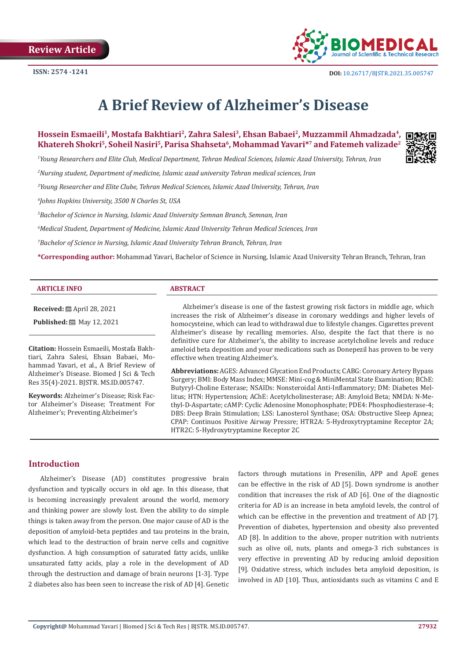

# **A Brief Review of Alzheimer's Disease**

**Hossein Esmaeili1, Mostafa Bakhtiari2, Zahra Salesi3, Ehsan Babaei2, Muzzammil Ahmadzada4, Khatereh Shokri5, Soheil Nasiri5, Parisa Shahseta6, Mohammad Yavari\*7 and Fatemeh valizade2**

*1 Young Researchers and Elite Club, Medical Department, Tehran Medical Sciences, Islamic Azad University, Tehran, Iran* 

*2 Nursing student, Department of medicine, Islamic azad university Tehran medical sciences, Iran*

*3 Young Researcher and Elite Clube, Tehran Medical Sciences, Islamic Azad University, Tehran, Iran* 

*4 Johns Hopkins University, 3500 N Charles St, USA*

*5 Bachelor of Science in Nursing, Islamic Azad University Semnan Branch, Semnan, Iran*

*6 Medical Student, Department of Medicine, Islamic Azad University Tehran Medical Sciences, Iran*

*7 Bachelor of Science in Nursing, Islamic Azad University Tehran Branch, Tehran, Iran*

**\*Corresponding author:** Mohammad Yavari, Bachelor of Science in Nursing, Islamic Azad University Tehran Branch, Tehran, Iran

### **ARTICLE INFO ABSTRACT**

**Received:** April 28, 2021 **Published:** ■ May 12, 2021

**Citation:** Hossein Esmaeili, Mostafa Bakhtiari, Zahra Salesi, Ehsan Babaei, Mohammad Yavari, et al., A Brief Review of Alzheimer's Disease. Biomed J Sci & Tech Res 35(4)-2021. BJSTR. MS.ID.005747.

**Keywords:** Alzheimer's Disease; Risk Factor Alzheimer's Disease; Treatment For Alzheimer's; Preventing Alzheimer's

Alzheimer's disease is one of the fastest growing risk factors in middle age, which increases the risk of Alzheimer's disease in coronary weddings and higher levels of homocysteine, which can lead to withdrawal due to lifestyle changes. Cigarettes prevent Alzheimer's disease by recalling memories. Also, despite the fact that there is no definitive cure for Alzheimer's, the ability to increase acetylcholine levels and reduce ameloid beta deposition and your medications such as Donepezil has proven to be very effective when treating Alzheimer's.

**Abbreviations:** AGES: Advanced Glycation End Products; CABG: Coronary Artery Bypass Surgery; BMI: Body Mass Index; MMSE: Mini-cog & MiniMental State Examination; BChE: Butyryl-Choline Esterase; NSAIDs: Nonsteroidal Anti-Inflammatory; DM: Diabetes Mellitus; HTN: Hypertension; AChE: Acetylcholinesterase; AB: Amyloid Beta; NMDA: N-Methyl-D-Aspartate; cAMP: Cyclic Adenosine Monophosphate; PDE4: Phosphodiesterase-4; DBS: Deep Brain Stimulation; LSS: Lanosterol Synthase; OSA: Obstructive Sleep Apnea; CPAP: Continuos Positive Airway Pressre; HTR2A: 5-Hydroxytryptamine Receptor 2A; HTR2C: 5-Hydroxytryptamine Receptor 2C

# **Introduction**

Alzheimer's Disease (AD) constitutes progressive brain dysfunction and typically occurs in old age. In this disease, that is becoming increasingly prevalent around the world, memory and thinking power are slowly lost. Even the ability to do simple things is taken away from the person. One major cause of AD is the deposition of amyloid-beta peptides and tau proteins in the brain, which lead to the destruction of brain nerve cells and cognitive dysfunction. A high consumption of saturated fatty acids, unlike unsaturated fatty acids, play a role in the development of AD through the destruction and damage of brain neurons [1-3]. Type 2 diabetes also has been seen to increase the risk of AD [4]. Genetic factors through mutations in Presenilin, APP and ApoE genes can be effective in the risk of AD [5]. Down syndrome is another condition that increases the risk of AD [6]. One of the diagnostic criteria for AD is an increase in beta amyloid levels, the control of which can be effective in the prevention and treatment of AD [7]. Prevention of diabetes, hypertension and obesity also prevented AD [8]. In addition to the above, proper nutrition with nutrients such as olive oil, nuts, plants and omega-3 rich substances is very effective in preventing AD by reducing amloid deposition [9]. Oxidative stress, which includes beta amyloid deposition, is involved in AD [10]. Thus, antioxidants such as vitamins C and E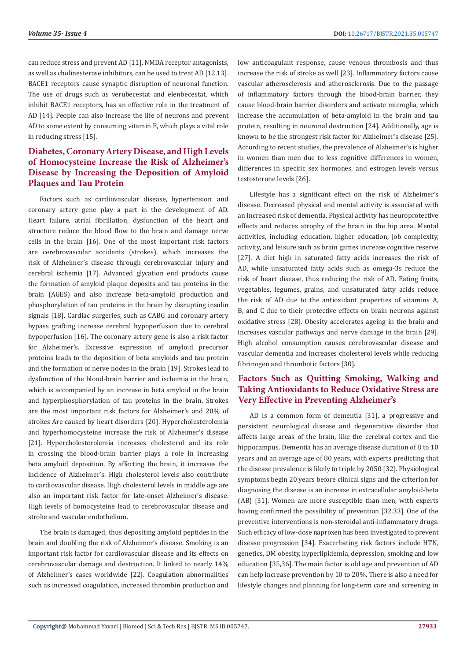can reduce stress and prevent AD [11]. NMDA receptor antagonists, as well as cholinesterase inhibitors, can be used to treat AD [12,13]. BACE1 receptors cause synaptic disruption of neuronal function. The use of drugs such as verubecestat and elenbecestat, which inhibit BACE1 receptors, has an effective role in the treatment of AD [14]. People can also increase the life of neurons and prevent AD to some extent by consuming vitamin E, which plays a vital role in reducing stress [15].

# **Diabetes, Coronary Artery Disease, and High Levels of Homocysteine Increase the Risk of Alzheimer's Disease by Increasing the Deposition of Amyloid Plaques and Tau Protein**

Factors such as cardiovascular disease, hypertension, and coronary artery gene play a part in the development of AD. Heart failure, atrial fibrillation, dysfunction of the heart and structure reduce the blood flow to the brain and damage nerve cells in the brain [16]. One of the most important risk factors are cerebrovascular accidents (strokes), which increases the risk of Alzheimer's disease through cerebrovascular injury and cerebral ischemia [17]. Advanced glycation end products cause the formation of amyloid plaque deposits and tau proteins in the brain (AGES) and also increase beta-amyloid production and phosphorylation of tau proteins in the brain by disrupting insulin signals [18]. Cardiac surgeries, such as CABG and coronary artery bypass grafting increase cerebral hypoperfusion due to cerebral hypoperfusion [16]. The coronary artery gene is also a risk factor for Alzheimer's. Excessive expression of amyloid precursor proteins leads to the deposition of beta amyloids and tau protein and the formation of nerve nodes in the brain [19]. Strokes lead to dysfunction of the blood-brain barrier and ischemia in the brain, which is accompanied by an increase in beta amyloid in the brain and hyperphosphorylation of tau proteins in the brain. Strokes are the most important risk factors for Alzheimer's and 20% of strokes Are caused by heart disorders [20]. Hypercholesterolemia and hyperhomocysteine increase the risk of Alzheimer's disease [21]. Hypercholesterolemia increases cholesterol and its role in crossing the blood-brain barrier plays a role in increasing beta amyloid deposition. By affecting the brain, it increases the incidence of Alzheimer's. High cholesterol levels also contribute to cardiovascular disease. High cholesterol levels in middle age are also an important risk factor for late-onset Alzheimer's disease. High levels of homocysteine lead to cerebrovascular disease and stroke and vascular endothelium.

The brain is damaged, thus depositing amyloid peptides in the brain and doubling the risk of Alzheimer's disease. Smoking is an important risk factor for cardiovascular disease and its effects on cerebrovascular damage and destruction. It linked to nearly 14% of Alzheimer's cases worldwide [22]. Coagulation abnormalities such as increased coagulation, increased thrombin production and low anticoagulant response, cause venous thrombosis and thus increase the risk of stroke as well [23]. Inflammatory factors cause vascular atherosclerosis and atherosclerosis. Due to the passage of inflammatory factors through the blood-brain barrier, they cause blood-brain barrier disorders and activate microglia, which increase the accumulation of beta-amyloid in the brain and tau protein, resulting in neuronal destruction [24]. Additionally, age is known to be the strongest risk factor for Alzheimer's disease [25]. According to recent studies, the prevalence of Alzheimer's is higher in women than men due to less cognitive differences in women, differences in specific sex hormones, and estrogen levels versus testosterone levels [26].

Lifestyle has a significant effect on the risk of Alzheimer's disease. Decreased physical and mental activity is associated with an increased risk of dementia. Physical activity has neuroprotective effects and reduces atrophy of the brain in the hip area. Mental activities, including education, higher education, job complexity, activity, and leisure such as brain games increase cognitive reserve [27]. A diet high in saturated fatty acids increases the risk of AD, while unsaturated fatty acids such as omega-3s reduce the risk of heart disease, thus reducing the risk of AD. Eating fruits, vegetables, legumes, grains, and unsaturated fatty acids reduce the risk of AD due to the antioxidant properties of vitamins A, B, and C due to their protective effects on brain neurons against oxidative stress [28]. Obesity accelerates ageing in the brain and increases vascular pathways and nerve damage in the brain [29]. High alcohol consumption causes cerebrovascular disease and vascular dementia and increases cholesterol levels while reducing fibrinogen and thrombotic factors [30].

# **Factors Such as Quitting Smoking, Walking and Taking Antioxidants to Reduce Oxidative Stress are Very Effective in Preventing Alzheimer's**

AD is a common form of dementia [31], a progressive and persistent neurological disease and degenerative disorder that affects large areas of the brain, like the cerebral cortex and the hippocampus. Dementia has an average disease duration of 8 to 10 years and an average age of 80 years, with experts predicting that the disease prevalence is likely to triple by 2050 [32]. Physiological symptoms begin 20 years before clinical signs and the criterion for diagnosing the disease is an increase in extracellular amyloid-beta (AB) [31]. Women are more susceptible than men, with experts having confirmed the possibility of prevention [32,33]. One of the preventive interventions is non-steroidal anti-inflammatory drugs. Such efficacy of low-dose naproxen has been investigated to prevent disease progression [34]. Exacerbating risk factors include HTN, genetics, DM obesity, hyperlipidemia, depression, smoking and low education [35,36]. The main factor is old age and prevention of AD can help increase prevention by 10 to 20%. There is also a need for lifestyle changes and planning for long-term care and screening in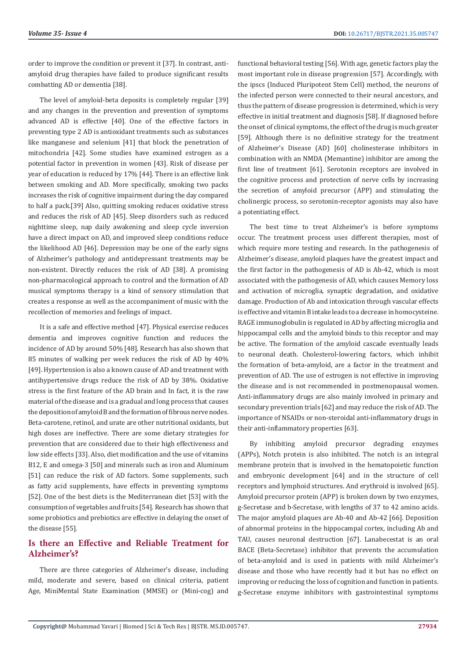order to improve the condition or prevent it [37]. In contrast, antiamyloid drug therapies have failed to produce significant results combatting AD or dementia [38].

The level of amyloid-beta deposits is completely regular [39] and any changes in the prevention and prevention of symptoms advanced AD is effective [40]. One of the effective factors in preventing type 2 AD is antioxidant treatments such as substances like manganese and selenium [41] that block the penetration of mitochondria [42]. Some studies have examined estrogen as a potential factor in prevention in women [43]. Risk of disease per year of education is reduced by 17% [44]. There is an effective link between smoking and AD. More specifically, smoking two packs increases the risk of cognitive impairment during the day compared to half a pack.[39] Also, quitting smoking reduces oxidative stress and reduces the risk of AD [45]. Sleep disorders such as reduced nighttime sleep, nap daily awakening and sleep cycle inversion have a direct impact on AD, and improved sleep conditions reduce the likelihood AD [46]. Depression may be one of the early signs of Alzheimer's pathology and antidepressant treatments may be non-existent. Directly reduces the risk of AD [38]. A promising non-pharmacological approach to control and the formation of AD musical symptoms therapy is a kind of sensory stimulation that creates a response as well as the accompaniment of music with the recollection of memories and feelings of impact.

It is a safe and effective method [47]. Physical exercise reduces dementia and improves cognitive function and reduces the incidence of AD by around 50% [48]. Research has also shown that 85 minutes of walking per week reduces the risk of AD by 40% [49]. Hypertension is also a known cause of AD and treatment with antihypertensive drugs reduce the risk of AD by 38%. Oxidative stress is the first feature of the AD brain and In fact, it is the raw material of the disease and is a gradual and long process that causes the deposition of amyloid B and the formation of fibrous nerve nodes. Beta-carotene, retinol, and urate are other nutritional oxidants, but high doses are ineffective. There are some dietary strategies for prevention that are considered due to their high effectiveness and low side effects [33]. Also, diet modification and the use of vitamins B12, E and omega-3 [50] and minerals such as iron and Aluminum [51] can reduce the risk of AD factors. Some supplements, such as fatty acid supplements, have effects in preventing symptoms [52]. One of the best diets is the Mediterranean diet [53] with the consumption of vegetables and fruits [54]. Research has shown that some probiotics and prebiotics are effective in delaying the onset of the disease [55].

# **Is there an Effective and Reliable Treatment for Alzheimer's?**

There are three categories of Alzheimer's disease, including mild, moderate and severe, based on clinical criteria, patient Age, MiniMental State Examination (MMSE) or (Mini-cog) and

functional behavioral testing [56]. With age, genetic factors play the most important role in disease progression [57]. Accordingly, with the ipscs (Induced Pluripotent Stem Cell) method, the neurons of the infected person were connected to their neural ancestors, and thus the pattern of disease progression is determined, which is very effective in initial treatment and diagnosis [58]. If diagnosed before the onset of clinical symptoms, the effect of the drug is much greater [59]. Although there is no definitive strategy for the treatment of Alzheimer's Disease (AD) [60] cholinesterase inhibitors in combination with an NMDA (Memantine) inhibitor are among the first line of treatment [61]. Serotonin receptors are involved in the cognitive process and protection of nerve cells by increasing the secretion of amyloid precursor (APP) and stimulating the cholinergic process, so serotonin-receptor agonists may also have a potentiating effect.

The best time to treat Alzheimer's is before symptoms occur. The treatment process uses different therapies, most of which require more testing and research. In the pathogenesis of Alzheimer's disease, amyloid plaques have the greatest impact and the first factor in the pathogenesis of AD is Ab-42, which is most associated with the pathogenesis of AD, which causes Memory loss and activation of microglia, synaptic degradation, and oxidative damage. Production of Ab and intoxication through vascular effects is effective and vitamin B intake leads to a decrease in homocysteine. RAGE immunoglobulin is regulated in AD by affecting microglia and hippocampal cells and the amyloid binds to this receptor and may be active. The formation of the amyloid cascade eventually leads to neuronal death. Cholesterol-lowering factors, which inhibit the formation of beta-amyloid, are a factor in the treatment and prevention of AD. The use of estrogen is not effective in improving the disease and is not recommended in postmenopausal women. Anti-inflammatory drugs are also mainly involved in primary and secondary prevention trials [62] and may reduce the risk of AD. The importance of NSAIDs or non-steroidal anti-inflammatory drugs in their anti-inflammatory properties [63].

By inhibiting amyloid precursor degrading enzymes (APPs), Notch protein is also inhibited. The notch is an integral membrane protein that is involved in the hematopoietic function and embryonic development [64] and in the structure of cell receptors and lymphoid structures. And erythroid is involved [65]. Amyloid precursor protein (APP) is broken down by two enzymes, g-Secretase and b-Secretase, with lengths of 37 to 42 amino acids. The major amyloid plaques are Ab-40 and Ab-42 [66]. Deposition of abnormal proteins in the hippocampal cortex, including Ab and TAU, causes neuronal destruction [67]. Lanabecestat is an oral BACE (Beta-Secretase) inhibitor that prevents the accumulation of beta-amyloid and is used in patients with mild Alzheimer's disease and those who have recently had it but has no effect on improving or reducing the loss of cognition and function in patients. g-Secretase enzyme inhibitors with gastrointestinal symptoms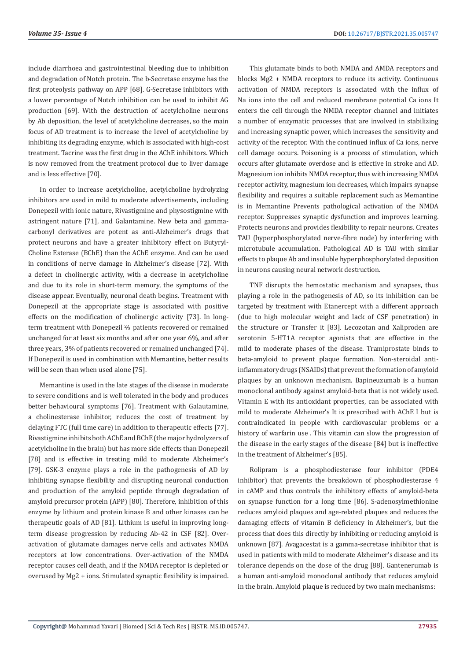include diarrhoea and gastrointestinal bleeding due to inhibition and degradation of Notch protein. The b-Secretase enzyme has the first proteolysis pathway on APP [68]. G-Secretase inhibitors with a lower percentage of Notch inhibition can be used to inhibit AG production [69]. With the destruction of acetylcholine neurons by Ab deposition, the level of acetylcholine decreases, so the main focus of AD treatment is to increase the level of acetylcholine by inhibiting its degrading enzyme, which is associated with high-cost treatment. Tacrine was the first drug in the AChE inhibitors. Which is now removed from the treatment protocol due to liver damage and is less effective [70].

In order to increase acetylcholine, acetylcholine hydrolyzing inhibitors are used in mild to moderate advertisements, including Donepezil with ionic nature, Rivastigmine and physostigmine with astringent nature [71], and Galantamine. New beta and gammacarbonyl derivatives are potent as anti-Alzheimer's drugs that protect neurons and have a greater inhibitory effect on Butyryl-Choline Esterase (BChE) than the AChE enzyme. And can be used in conditions of nerve damage in Alzheimer's disease [72]. With a defect in cholinergic activity, with a decrease in acetylcholine and due to its role in short-term memory, the symptoms of the disease appear. Eventually, neuronal death begins. Treatment with Donepezil at the appropriate stage is associated with positive effects on the modification of cholinergic activity [73]. In longterm treatment with Donepezil ⅔ patients recovered or remained unchanged for at least six months and after one year 6%, and after three years, 3% of patients recovered or remained unchanged [74]. If Donepezil is used in combination with Memantine, better results will be seen than when used alone [75].

Memantine is used in the late stages of the disease in moderate to severe conditions and is well tolerated in the body and produces better behavioural symptoms [76]. Treatment with Galautamine, a cholinesterase inhibitor, reduces the cost of treatment by delaying FTC (full time care) in addition to therapeutic effects [77]. Rivastigmine inhibits both AChE and BChE (the major hydrolyzers of acetylcholine in the brain) but has more side effects than Donepezil [78] and is effective in treating mild to moderate Alzheimer's [79]. GSK-3 enzyme plays a role in the pathogenesis of AD by inhibiting synapse flexibility and disrupting neuronal conduction and production of the amyloid peptide through degradation of amyloid precursor protein (APP) [80]. Therefore, inhibition of this enzyme by lithium and protein kinase B and other kinases can be therapeutic goals of AD [81]. Lithium is useful in improving longterm disease progression by reducing Ab-42 in CSF [82]. Overactivation of glutamate damages nerve cells and activates NMDA receptors at low concentrations. Over-activation of the NMDA receptor causes cell death, and if the NMDA receptor is depleted or overused by Mg2 + ions. Stimulated synaptic flexibility is impaired.

This glutamate binds to both NMDA and AMDA receptors and blocks Mg2 + NMDA receptors to reduce its activity. Continuous activation of NMDA receptors is associated with the influx of Na ions into the cell and reduced membrane potential Ca ions It enters the cell through the NMDA receptor channel and initiates a number of enzymatic processes that are involved in stabilizing and increasing synaptic power, which increases the sensitivity and activity of the receptor. With the continued influx of Ca ions, nerve cell damage occurs. Poisoning is a process of stimulation, which occurs after glutamate overdose and is effective in stroke and AD. Magnesium ion inhibits NMDA receptor, thus with increasing NMDA receptor activity, magnesium ion decreases, which impairs synapse flexibility and requires a suitable replacement such as Memantine is in Memantine Prevents pathological activation of the NMDA receptor. Suppresses synaptic dysfunction and improves learning. Protects neurons and provides flexibility to repair neurons. Creates TAU (hyperphosphorylated nerve-fibre node) by interfering with microtubule accumulation. Pathological AD is TAU with similar effects to plaque Ab and insoluble hyperphosphorylated deposition in neurons causing neural network destruction.

TNF disrupts the hemostatic mechanism and synapses, thus playing a role in the pathogenesis of AD, so its inhibition can be targeted by treatment with Etanercept with a different approach (due to high molecular weight and lack of CSF penetration) in the structure or Transfer it [83]. Lecozotan and Xaliproden are serotonin 5-HT1A receptor agonists that are effective in the mild to moderate phases of the disease. Tramiprostate binds to beta-amyloid to prevent plaque formation. Non-steroidal antiinflammatory drugs (NSAIDs) that prevent the formation of amyloid plaques by an unknown mechanism. Bapineuzumab is a human monoclonal antibody against amyloid-beta that is not widely used. Vitamin E with its antioxidant properties, can be associated with mild to moderate Alzheimer's It is prescribed with AChE I but is contraindicated in people with cardiovascular problems or a history of warfarin use . This vitamin can slow the progression of the disease in the early stages of the disease [84] but is ineffective in the treatment of Alzheimer's [85].

Rolipram is a phosphodiesterase four inhibitor (PDE4 inhibitor) that prevents the breakdown of phosphodiesterase 4 in cAMP and thus controls the inhibitory effects of amyloid-beta on synapse function for a long time [86]. S-adenosylmethionine reduces amyloid plaques and age-related plaques and reduces the damaging effects of vitamin B deficiency in Alzheimer's, but the process that does this directly by inhibiting or reducing amyloid is unknown [87]. Avagacestat is a gamma-secretase inhibitor that is used in patients with mild to moderate Alzheimer's disease and its tolerance depends on the dose of the drug [88]. Gantenerumab is a human anti-amyloid monoclonal antibody that reduces amyloid in the brain. Amyloid plaque is reduced by two main mechanisms: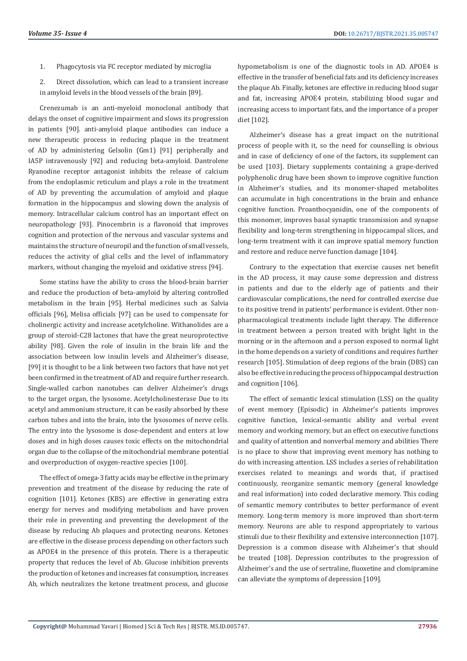- 1. Phagocytosis via FC receptor mediated by microglia
- 2. Direct dissolution, which can lead to a transient increase in amyloid levels in the blood vessels of the brain [89].

Crenezumab is an anti-myeloid monoclonal antibody that delays the onset of cognitive impairment and slows its progression in patients [90]. anti-amyloid plaque antibodies can induce a new therapeutic process in reducing plaque in the treatment of AD by administering Gelsolin (Gm1) [91] peripherally and IA5P intravenously [92] and reducing beta-amyloid. Dantrolene Ryanodine receptor antagonist inhibits the release of calcium from the endoplasmic reticulum and plays a role in the treatment of AD by preventing the accumulation of amyloid and plaque formation in the hippocampus and slowing down the analysis of memory. Intracellular calcium control has an important effect on neuropathology [93]. Pinocembrin is a flavonoid that improves cognition and protection of the nervous and vascular systems and maintains the structure of neuropil and the function of small vessels, reduces the activity of glial cells and the level of inflammatory markers, without changing the myeloid and oxidative stress [94].

Some statins have the ability to cross the blood-brain barrier and reduce the production of beta-amyloid by altering controlled metabolism in the brain [95]. Herbal medicines such as Salvia officials [96], Melisa officials [97] can be used to compensate for cholinergic activity and increase acetylcholine. Withanolides are a group of steroid-C28 lactones that have the great neuroprotective ability [98]. Given the role of insulin in the brain life and the association between low insulin levels and Alzheimer's disease, [99] it is thought to be a link between two factors that have not yet been confirmed in the treatment of AD and require further research. Single-walled carbon nanotubes can deliver Alzheimer's drugs to the target organ, the lysosome. Acetylcholinesterase Due to its acetyl and ammonium structure, it can be easily absorbed by these carbon tubes and into the brain, into the lysosomes of nerve cells. The entry into the lysosome is dose-dependent and enters at low doses and in high doses causes toxic effects on the mitochondrial organ due to the collapse of the mitochondrial membrane potential and overproduction of oxygen-reactive species [100].

The effect of omega-3 fatty acids may be effective in the primary prevention and treatment of the disease by reducing the rate of cognition [101]. Ketones (KBS) are effective in generating extra energy for nerves and modifying metabolism and have proven their role in preventing and preventing the development of the disease by reducing Ab plaques and protecting neurons. Ketones are effective in the disease process depending on other factors such as APOE4 in the presence of this protein. There is a therapeutic property that reduces the level of Ab. Glucose inhibition prevents the production of ketones and increases fat consumption, increases Ab, which neutralizes the ketone treatment process, and glucose

hypometabolism is one of the diagnostic tools in AD. APOE4 is effective in the transfer of beneficial fats and its deficiency increases the plaque Ab. Finally, ketones are effective in reducing blood sugar and fat, increasing APOE4 protein, stabilizing blood sugar and increasing access to important fats, and the importance of a proper diet [102].

Alzheimer's disease has a great impact on the nutritional process of people with it, so the need for counselling is obvious and in case of deficiency of one of the factors, its supplement can be used [103]. Dietary supplements containing a grape-derived polyphenolic drug have been shown to improve cognitive function in Alzheimer's studies, and its monomer-shaped metabolites can accumulate in high concentrations in the brain and enhance cognitive function. Proanthocyanidin, one of the components of this monomer, improves basal synaptic transmission and synapse flexibility and long-term strengthening in hippocampal slices, and long-term treatment with it can improve spatial memory function and restore and reduce nerve function damage [104].

Contrary to the expectation that exercise causes net benefit in the AD process, it may cause some depression and distress in patients and due to the elderly age of patients and their cardiovascular complications, the need for controlled exercise due to its positive trend in patients' performance is evident. Other nonpharmacological treatments include light therapy. The difference in treatment between a person treated with bright light in the morning or in the afternoon and a person exposed to normal light in the home depends on a variety of conditions and requires further research [105]. Stimulation of deep regions of the brain (DBS) can also be effective in reducing the process of hippocampal destruction and cognition [106].

The effect of semantic lexical stimulation (LSS) on the quality of event memory (Episodic) in Alzheimer's patients improves cognitive function, lexical-semantic ability and verbal event memory and working memory, but an effect on executive functions and quality of attention and nonverbal memory and abilities There is no place to show that improving event memory has nothing to do with increasing attention. LSS includes a series of rehabilitation exercises related to meanings and words that, if practised continuously, reorganize semantic memory (general knowledge and real information) into coded declarative memory. This coding of semantic memory contributes to better performance of event memory. Long-term memory is more improved than short-term memory. Neurons are able to respond appropriately to various stimuli due to their flexibility and extensive interconnection [107]. Depression is a common disease with Alzheimer's that should be treated [108]. Depression contributes to the progression of Alzheimer's and the use of sertraline, fluoxetine and clomipramine can alleviate the symptoms of depression [109].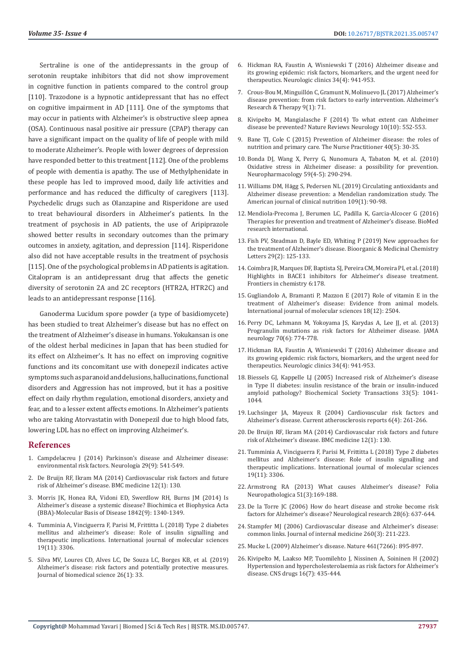Sertraline is one of the antidepressants in the group of serotonin reuptake inhibitors that did not show improvement in cognitive function in patients compared to the control group [110]. Trazodone is a hypnotic antidepressant that has no effect on cognitive impairment in AD [111]. One of the symptoms that may occur in patients with Alzheimer's is obstructive sleep apnea (OSA). Continuous nasal positive air pressure (CPAP) therapy can have a significant impact on the quality of life of people with mild to moderate Alzheimer's. People with lower degrees of depression have responded better to this treatment [112]. One of the problems of people with dementia is apathy. The use of Methylphenidate in these people has led to improved mood, daily life activities and performance and has reduced the difficulty of caregivers [113]. Psychedelic drugs such as Olanzapine and Risperidone are used to treat behavioural disorders in Alzheimer's patients. In the treatment of psychosis in AD patients, the use of Aripiprazole showed better results in secondary outcomes than the primary outcomes in anxiety, agitation, and depression [114]. Risperidone also did not have acceptable results in the treatment of psychosis [115]. One of the psychological problems in AD patients is agitation. Citalopram is an antidepressant drug that affects the genetic diversity of serotonin 2A and 2C receptors (HTR2A, HTR2C) and leads to an antidepressant response [116].

Ganoderma Lucidum spore powder (a type of basidiomycete) has been studied to treat Alzheimer's disease but has no effect on the treatment of Alzheimer's disease in humans. Yokukansan is one of the oldest herbal medicines in Japan that has been studied for its effect on Alzheimer's. It has no effect on improving cognitive functions and its concomitant use with donepezil indicates active symptoms such as paranoid and delusions, hallucinations, functional disorders and Aggression has not improved, but it has a positive effect on daily rhythm regulation, emotional disorders, anxiety and fear, and to a lesser extent affects emotions. In Alzheimer's patients who are taking Atorvastatin with Donepezil due to high blood fats, lowering LDL has no effect on improving Alzheimer's.

#### **References**

- 1. [Campdelacreu J \(2014\) Parkinson's disease and Alzheimer disease:](https://pubmed.ncbi.nlm.nih.gov/22703631/)  [environmental risk factors. Neurolog](https://pubmed.ncbi.nlm.nih.gov/22703631/)ía 29(9): 541-549.
- 2. [De Bruijn RF, Ikram MA \(2014\) Cardiovascular risk factors and future](https://pubmed.ncbi.nlm.nih.gov/25385322/)  [risk of Alzheimer's disease. BMC medicine 12\(1\): 130.](https://pubmed.ncbi.nlm.nih.gov/25385322/)
- 3. [Morris JK, Honea RA, Vidoni ED, Swerdlow RH, Burns JM \(2014\) Is](https://pubmed.ncbi.nlm.nih.gov/24747741/)  [Alzheimer's disease a systemic disease? Biochimica et Biophysica Acta](https://pubmed.ncbi.nlm.nih.gov/24747741/)  [\(BBA\)-Molecular Basis of Disease 1842\(9\): 1340-1349.](https://pubmed.ncbi.nlm.nih.gov/24747741/)
- 4. [Tumminia A, Vinciguerra F, Parisi M, Frittitta L \(2018\) Type 2 diabetes](https://pubmed.ncbi.nlm.nih.gov/30355995/)  [mellitus and alzheimer's disease: Role of insulin signalling and](https://pubmed.ncbi.nlm.nih.gov/30355995/)  [therapeutic implications. International journal of molecular sciences](https://pubmed.ncbi.nlm.nih.gov/30355995/)  [19\(11\): 3306.](https://pubmed.ncbi.nlm.nih.gov/30355995/)
- 5. [Silva MV, Loures CD, Alves LC, De Souza LC, Borges KB, et al. \(2019\)](https://pubmed.ncbi.nlm.nih.gov/31072403/)  [Alzheimer's disease: risk factors and potentially protective measures.](https://pubmed.ncbi.nlm.nih.gov/31072403/)  [Journal of biomedical science 26\(1\): 33.](https://pubmed.ncbi.nlm.nih.gov/31072403/)
- 6. Hickman RA, Faustin A, Wisniewski T (2016) Alzheimer disease and its growing epidemic: risk factors, biomarkers, and the urgent need for therapeutics. Neurologic clinics 34(4): 941-953.
- 7. Crous-Bou M, Minguillón C, Gramunt N, Molinuevo JL (2017) Alzheimer's disease prevention: from risk factors to early intervention. Alzheimer's Research & Therapy 9(1): 71.
- 8. [Kivipelto M, Mangialasche F \(2014\) To what extent can Alzheimer](https://pubmed.ncbi.nlm.nih.gov/25245154/) [disease be prevented? Nature Reviews Neurology 10\(10\): 552-553.](https://pubmed.ncbi.nlm.nih.gov/25245154/)
- 9. [Bane TJ, Cole C \(2015\) Prevention of Alzheimer disease: the roles of](https://pubmed.ncbi.nlm.nih.gov/25839697/) [nutrition and primary care. The Nurse Practitioner 40\(5\): 30-35.](https://pubmed.ncbi.nlm.nih.gov/25839697/)
- 10. [Bonda DJ, Wang X, Perry G, Nunomura A, Tabaton M, et al. \(2010\)](https://pubmed.ncbi.nlm.nih.gov/20394761/) [Oxidative stress in Alzheimer disease: a possibility for prevention.](https://pubmed.ncbi.nlm.nih.gov/20394761/) [Neuropharmacology 59\(4-5\): 290-294.](https://pubmed.ncbi.nlm.nih.gov/20394761/)
- 11. Williams DM, Hä[gg S, Pedersen NL \(2019\) Circulating antioxidants and](https://pubmed.ncbi.nlm.nih.gov/30596810/) [Alzheimer disease prevention: a Mendelian randomization study. The](https://pubmed.ncbi.nlm.nih.gov/30596810/) [American journal of clinical nutrition 109\(1\): 90-98.](https://pubmed.ncbi.nlm.nih.gov/30596810/)
- 12. [Mendiola-Precoma J, Berumen LC, Padilla K, Garcia-Alcocer G \(2016\)](https://www.ncbi.nlm.nih.gov/pmc/articles/PMC4980501/) [Therapies for prevention and treatment of Alzheimer's disease. BioMed](https://www.ncbi.nlm.nih.gov/pmc/articles/PMC4980501/) [research international.](https://www.ncbi.nlm.nih.gov/pmc/articles/PMC4980501/)
- 13. [Fish PV, Steadman D, Bayle ED, Whiting P \(2019\) New approaches for](https://pubmed.ncbi.nlm.nih.gov/30501965/) [the treatment of Alzheimer's disease. Bioorganic & Medicinal Chemistry](https://pubmed.ncbi.nlm.nih.gov/30501965/) [Letters 29\(2\): 125-133.](https://pubmed.ncbi.nlm.nih.gov/30501965/)
- 14. [Coimbra JR, Marques DF, Baptista SJ, Pereira CM, Moreira PI, et al. \(2018\)](https://pubmed.ncbi.nlm.nih.gov/29881722/) [Highlights in BACE1 inhibitors for Alzheimer's disease treatment.](https://pubmed.ncbi.nlm.nih.gov/29881722/) [Frontiers in chemistry 6:178.](https://pubmed.ncbi.nlm.nih.gov/29881722/)
- 15. [Gugliandolo A, Bramanti P, Mazzon E \(2017\) Role of vitamin E in the](https://pubmed.ncbi.nlm.nih.gov/29168797/) [treatment of Alzheimer's disease: Evidence from animal models.](https://pubmed.ncbi.nlm.nih.gov/29168797/) [International journal of molecular sciences 18\(12\): 2504.](https://pubmed.ncbi.nlm.nih.gov/29168797/)
- 16. [Perry DC, Lehmann M, Yokoyama JS, Karydas A, Lee JJ, et al. \(2013\)](https://pubmed.ncbi.nlm.nih.gov/23609919/) [Progranulin mutations as risk factors for Alzheimer disease. JAMA](https://pubmed.ncbi.nlm.nih.gov/23609919/) [neurology 70\(6\): 774-778.](https://pubmed.ncbi.nlm.nih.gov/23609919/)
- 17. [Hickman RA, Faustin A, Wisniewski T \(2016\) Alzheimer disease and](https://pubmed.ncbi.nlm.nih.gov/27720002/) [its growing epidemic: risk factors, biomarkers, and the urgent need for](https://pubmed.ncbi.nlm.nih.gov/27720002/) [therapeutics. Neurologic clinics 34\(4\): 941-953.](https://pubmed.ncbi.nlm.nih.gov/27720002/)
- 18. [Biessels GJ, Kappelle LJ \(2005\) Increased risk of Alzheimer's disease](https://pubmed.ncbi.nlm.nih.gov/16246041/) [in Type II diabetes: insulin resistance of the brain or insulin-induced](https://pubmed.ncbi.nlm.nih.gov/16246041/) [amyloid pathology? Biochemical Society Transactions 33\(5\): 1041-](https://pubmed.ncbi.nlm.nih.gov/16246041/) [1044.](https://pubmed.ncbi.nlm.nih.gov/16246041/)
- 19. [Luchsinger JA, Mayeux R \(2004\) Cardiovascular risk factors and](https://pubmed.ncbi.nlm.nih.gov/15191699/) [Alzheimer's disease. Current atherosclerosis reports 6\(4\): 261-266.](https://pubmed.ncbi.nlm.nih.gov/15191699/)
- 20. [De Bruijn RF, Ikram MA \(2014\) Cardiovascular risk factors and future](https://www.researchgate.net/publication/268234366_Cardiovascular_risk_factors_and_future_Alzheimer) [risk of Alzheimer's disease. BMC medicine 12\(1\): 130.](https://www.researchgate.net/publication/268234366_Cardiovascular_risk_factors_and_future_Alzheimer)
- 21. [Tumminia A, Vinciguerra F, Parisi M, Frittitta L \(2018\) Type 2 diabetes](https://pubmed.ncbi.nlm.nih.gov/30355995/) [mellitus and Alzheimer's disease: Role of insulin signalling and](https://pubmed.ncbi.nlm.nih.gov/30355995/) [therapeutic implications. International journal of molecular sciences](https://pubmed.ncbi.nlm.nih.gov/30355995/) [19\(11\): 3306.](https://pubmed.ncbi.nlm.nih.gov/30355995/)
- 22. Armstrong RA (2013) What causes Alzheimer's disease? Folia Neuropathologica 51(3):169-188.
- 23. [De la Torre JC \(2006\) How do heart disease and stroke become risk](https://pubmed.ncbi.nlm.nih.gov/16945216/) [factors for Alzheimer's disease? Neurological research 28\(6\): 637-644.](https://pubmed.ncbi.nlm.nih.gov/16945216/)
- 24. [Stampfer MJ \(2006\) Cardiovascular disease and Alzheimer's disease:](https://pubmed.ncbi.nlm.nih.gov/16918818/) [common links. Journal of internal medicine 260\(3\): 211-223.](https://pubmed.ncbi.nlm.nih.gov/16918818/)
- 25. Mucke L (2009) Alzheimer's disease. Nature 461(7266): 895-897.
- 26. [Kivipelto M, Laakso MP, Tuomilehto J, Nissinen A, Soininen H \(2002\)](https://pubmed.ncbi.nlm.nih.gov/12056919/) [Hypertension and hypercholesterolaemia as risk factors for Alzheimer's](https://pubmed.ncbi.nlm.nih.gov/12056919/) [disease. CNS drugs 16\(7\): 435-444.](https://pubmed.ncbi.nlm.nih.gov/12056919/)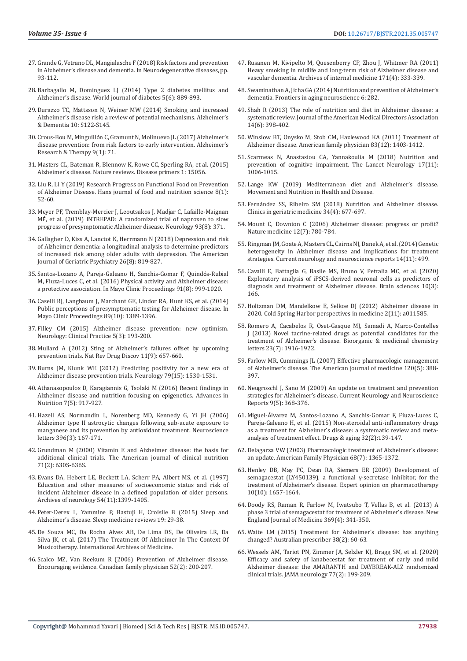- 27. Grande G, Vetrano DL, Mangialasche F (2018) Risk factors and prevention in Alzheimer's disease and dementia. In Neurodegenerative diseases, pp. 93-112.
- 28. [Barbagallo M, Dominguez LJ \(2014\) Type 2 diabetes mellitus and](https://www.ncbi.nlm.nih.gov/pmc/articles/PMC4265876/)  [Alzheimer's disease. World journal of diabetes 5\(6\): 889-893.](https://www.ncbi.nlm.nih.gov/pmc/articles/PMC4265876/)
- 29. [Durazzo TC, Mattsson N, Weiner MW \(2014\) Smoking and increased](https://pubmed.ncbi.nlm.nih.gov/24924665/)  [Alzheimer's disease risk: a review of potential mechanisms. Alzheimer's](https://pubmed.ncbi.nlm.nih.gov/24924665/)  [& Dementia 10: S122-S145.](https://pubmed.ncbi.nlm.nih.gov/24924665/)
- 30. Crous-Bou M, Minguilló[n C, Gramunt N, Molinuevo JL \(2017\) Alzheimer's](https://www.researchgate.net/publication/319652727_Alzheimer)  [disease prevention: from risk factors to early intervention. Alzheimer's](https://www.researchgate.net/publication/319652727_Alzheimer)  [Research & Therapy 9\(1\): 71.](https://www.researchgate.net/publication/319652727_Alzheimer)
- 31. [Masters CL, Bateman R, Blennow K, Rowe CC, Sperling RA, et al. \(2015\)](https://www.nature.com/articles/nrdp201556)  [Alzheimer's disease. Nature reviews. Disease primers 1: 15056.](https://www.nature.com/articles/nrdp201556)
- 32. [Liu R, Li Y \(2019\) Research Progress on Functional Food on Prevention](https://www.researchgate.net/publication/330759562_Research_Progress_on_Functional_Food_on_Prevention_of_Alzheimer_Disease)  [of Alzheimer Disease. Hans journal of food and nutrition science 8\(1\):](https://www.researchgate.net/publication/330759562_Research_Progress_on_Functional_Food_on_Prevention_of_Alzheimer_Disease)  [52-60.](https://www.researchgate.net/publication/330759562_Research_Progress_on_Functional_Food_on_Prevention_of_Alzheimer_Disease)
- 33. [Meyer PF, Tremblay-Mercier J, Leoutsakos J, Madjar C, Lafaille-Maignan](https://pubmed.ncbi.nlm.nih.gov/31427496/)  MÉ[, et al. \(2019\) INTREPAD: A randomized trial of naproxen to slow](https://pubmed.ncbi.nlm.nih.gov/31427496/)  [progress of presymptomatic Alzheimer disease. Neurology 93\(8\): 371.](https://pubmed.ncbi.nlm.nih.gov/31427496/)
- 34. [Gallagher D, Kiss A, Lanctot K, Herrmann N \(2018\) Depression and risk](https://pubmed.ncbi.nlm.nih.gov/29960668/)  [of Alzheimer dementia: a longitudinal analysis to determine predictors](https://pubmed.ncbi.nlm.nih.gov/29960668/)  [of increased risk among older adults with depression. The American](https://pubmed.ncbi.nlm.nih.gov/29960668/)  [Journal of Geriatric Psychiatry 26\(8\): 819-827.](https://pubmed.ncbi.nlm.nih.gov/29960668/)
- 35. [Santos-Lozano A, Pareja-Galeano H, Sanchis-Gomar F, Quind](https://pubmed.ncbi.nlm.nih.gov/27492909/)ós-Rubial [M, Fiuza-Luces C, et al. \(2016\) Physical activity and Alzheimer disease:](https://pubmed.ncbi.nlm.nih.gov/27492909/)  [a protective association. In Mayo Clinic Proceedings 91\(8\): 999-1020.](https://pubmed.ncbi.nlm.nih.gov/27492909/)
- 36. [Caselli RJ, Langbaum J, Marchant GE, Lindor RA, Hunt KS, et al. \(2014\)](https://pubmed.ncbi.nlm.nih.gov/25171823/)  [Public perceptions of presymptomatic testing for Alzheimer disease. In](https://pubmed.ncbi.nlm.nih.gov/25171823/)  [Mayo Clinic Proceedings 89\(10\): 1389-1396.](https://pubmed.ncbi.nlm.nih.gov/25171823/)
- 37. [Filley CM \(2015\) Alzheimer disease prevention: new optimism.](https://pubmed.ncbi.nlm.nih.gov/29443207/)  [Neurology: Clinical Practice 5\(3\): 193-200.](https://pubmed.ncbi.nlm.nih.gov/29443207/)
- 38. [Mullard A \(2012\) Sting of Alzheimer's failures offset by upcoming](https://pubmed.ncbi.nlm.nih.gov/22935790/)  [prevention trials. Nat Rev Drug Discov 11\(9\): 657-660.](https://pubmed.ncbi.nlm.nih.gov/22935790/)
- 39. [Burns JM, Klunk WE \(2012\) Predicting positivity for a new era of](https://pubmed.ncbi.nlm.nih.gov/22972636/)  [Alzheimer disease prevention trials. Neurology 79\(15\): 1530-1531.](https://pubmed.ncbi.nlm.nih.gov/22972636/)
- 40. [Athanasopoulos D, Karagiannis G, Tsolaki M \(2016\) Recent findings in](https://www.researchgate.net/publication/308181663_Recent_Findings_in_Alzheimer_Disease_and_Nutrition_Focusing_on_Epigenetics)  [Alzheimer disease and nutrition focusing on epigenetics. Advances in](https://www.researchgate.net/publication/308181663_Recent_Findings_in_Alzheimer_Disease_and_Nutrition_Focusing_on_Epigenetics)  [Nutrition 7\(5\): 917-927.](https://www.researchgate.net/publication/308181663_Recent_Findings_in_Alzheimer_Disease_and_Nutrition_Focusing_on_Epigenetics)
- 41. [Hazell AS, Normandin L, Norenberg MD, Kennedy G, Yi JH \(2006\)](https://pubmed.ncbi.nlm.nih.gov/16384640/)  [Alzheimer type II astrocytic changes following sub-acute exposure to](https://pubmed.ncbi.nlm.nih.gov/16384640/)  [manganese and its prevention by antioxidant treatment. Neuroscience](https://pubmed.ncbi.nlm.nih.gov/16384640/)  [letters 396\(3\): 167-171.](https://pubmed.ncbi.nlm.nih.gov/16384640/)
- 42. [Grundman M \(2000\) Vitamin E and Alzheimer disease: the basis for](https://pubmed.ncbi.nlm.nih.gov/10681271/)  [additional clinical trials. The American journal of clinical nutrition](https://pubmed.ncbi.nlm.nih.gov/10681271/)  [71\(2\): 630S-636S.](https://pubmed.ncbi.nlm.nih.gov/10681271/)
- 43. [Evans DA, Hebert LE, Beckett LA, Scherr PA, Albert MS, et al. \(1997\)](https://pubmed.ncbi.nlm.nih.gov/9362989/)  [Education and other measures of socioeconomic status and risk of](https://pubmed.ncbi.nlm.nih.gov/9362989/)  [incident Alzheimer disease in a defined population of older persons.](https://pubmed.ncbi.nlm.nih.gov/9362989/)  [Archives of neurology 54\(11\):1399-1405.](https://pubmed.ncbi.nlm.nih.gov/9362989/)
- 44. Peter-Derex L, Yammine P, Bastuji H, Croisile B (2015) Sleep and Alzheimer's disease. Sleep medicine reviews 19: 29-38.
- 45. [De Souza MC, Da Rocha Alves AB, De Lima DS, De Oliveira LR, Da](http://imedicalpublisher.com/ojs/index.php/iam/article/view/2386)  [Silva JK, et al. \(2017\) The Treatment Of Alzheimer In The Context Of](http://imedicalpublisher.com/ojs/index.php/iam/article/view/2386)  [Musicotherapy. International Archives of Medicine.](http://imedicalpublisher.com/ojs/index.php/iam/article/view/2386)
- 46. [Scalco MZ, Van Reekum R \(2006\) Prevention of Alzheimer disease.](https://pubmed.ncbi.nlm.nih.gov/16529393/)  [Encouraging evidence. Canadian family physician 52\(2\): 200-207.](https://pubmed.ncbi.nlm.nih.gov/16529393/)
- 47. [Rusanen M, Kivipelto M, Quesenberry CP, Zhou J, Whitmer RA \(2011\)](https://pubmed.ncbi.nlm.nih.gov/20975015/) [Heavy smoking in midlife and long-term risk of Alzheimer disease and](https://pubmed.ncbi.nlm.nih.gov/20975015/) [vascular dementia. Archives of internal medicine 171\(4\): 333-339.](https://pubmed.ncbi.nlm.nih.gov/20975015/)
- 48. [Swaminathan A, Jicha GA \(2014\) Nutrition and prevention of Alzheimer's](https://pubmed.ncbi.nlm.nih.gov/25368575/) [dementia. Frontiers in aging neuroscience 6: 282.](https://pubmed.ncbi.nlm.nih.gov/25368575/)
- 49. [Shah R \(2013\) The role of nutrition and diet in Alzheimer disease: a](https://pubmed.ncbi.nlm.nih.gov/23419980/) [systematic review. Journal of the American Medical Directors Association](https://pubmed.ncbi.nlm.nih.gov/23419980/) [14\(6\): 398-402.](https://pubmed.ncbi.nlm.nih.gov/23419980/)
- 50. Winslow BT, Onysko M, Stob CM, Hazlewood KA (2011) Treatment of Alzheimer disease. American family physician 83(12): 1403-1412.
- 51. [Scarmeas N, Anastasiou CA, Yannakoulia M \(2018\) Nutrition and](https://pubmed.ncbi.nlm.nih.gov/30244829/) [prevention of cognitive impairment. The Lancet Neurology 17\(11\):](https://pubmed.ncbi.nlm.nih.gov/30244829/) [1006-1015.](https://pubmed.ncbi.nlm.nih.gov/30244829/)
- 52. Lange KW (2019) Mediterranean diet and Alzheimer's disease. Movement and Nutrition in Health and Disease.
- 53. Fernández SS, Ribeiro SM (2018) Nutrition and Alzheimer disease. Clinics in geriatric medicine 34(4): 677-697.
- 54. [Mount C, Downton C \(2006\) Alzheimer disease: progress or profit?](https://pubmed.ncbi.nlm.nih.gov/16829947/) [Nature medicine 12\(7\): 780-784.](https://pubmed.ncbi.nlm.nih.gov/16829947/)
- 55. [Ringman JM, Goate A, Masters CL, Cairns NJ, Danek A, et al. \(2014\) Genetic](https://pubmed.ncbi.nlm.nih.gov/25217249/) [heterogeneity in Alzheimer disease and implications for treatment](https://pubmed.ncbi.nlm.nih.gov/25217249/) [strategies. Current neurology and neuroscience reports 14\(11\): 499.](https://pubmed.ncbi.nlm.nih.gov/25217249/)
- 56. [Cavalli E, Battaglia G, Basile MS, Bruno V, Petralia MC, et al. \(2020\)](https://pubmed.ncbi.nlm.nih.gov/32183090/) [Exploratory analysis of iPSCS-derived neuronal cells as predictors of](https://pubmed.ncbi.nlm.nih.gov/32183090/) [diagnosis and treatment of Alzheimer disease. Brain sciences 10\(3\):](https://pubmed.ncbi.nlm.nih.gov/32183090/) [166.](https://pubmed.ncbi.nlm.nih.gov/32183090/)
- 57. [Holtzman DM, Mandelkow E, Selkoe DJ \(2012\) Alzheimer disease in](https://www.ncbi.nlm.nih.gov/pmc/articles/PMC3543098/) [2020. Cold Spring Harbor perspectives in medicine 2\(11\): a011585.](https://www.ncbi.nlm.nih.gov/pmc/articles/PMC3543098/)
- 58. [Romero A, Cacabelos R, Oset-Gasque MJ, Samadi A, Marco-Contelles](https://www.sciencedirect.com/science/article/pii/S0960894X13001911) [J \(2013\) Novel tacrine-related drugs as potential candidates for the](https://www.sciencedirect.com/science/article/pii/S0960894X13001911) [treatment of Alzheimer's disease. Bioorganic & medicinal chemistry](https://www.sciencedirect.com/science/article/pii/S0960894X13001911) [letters 23\(7\): 1916-1922.](https://www.sciencedirect.com/science/article/pii/S0960894X13001911)
- 59. [Farlow MR, Cummings JL \(2007\) Effective pharmacologic management](https://pubmed.ncbi.nlm.nih.gov/17466645/) [of Alzheimer's disease. The American journal of medicine 120\(5\): 388-](https://pubmed.ncbi.nlm.nih.gov/17466645/) [397.](https://pubmed.ncbi.nlm.nih.gov/17466645/)
- 60. [Neugroschl J, Sano M \(2009\) An update on treatment and prevention](https://pubmed.ncbi.nlm.nih.gov/19664366/) [strategies for Alzheimer's disease. Current Neurology and Neuroscience](https://pubmed.ncbi.nlm.nih.gov/19664366/) [Reports 9\(5\): 368-376.](https://pubmed.ncbi.nlm.nih.gov/19664366/)
- 61. Miguel-Á[lvarez M, Santos-Lozano A, Sanchis-Gomar F, Fiuza-Luces C,](https://pubmed.ncbi.nlm.nih.gov/25644018/) [Pareja-Galeano H, et al. \(2015\) Non-steroidal anti-inflammatory drugs](https://pubmed.ncbi.nlm.nih.gov/25644018/) [as a treatment for Alzheimer's disease: a systematic review and meta](https://pubmed.ncbi.nlm.nih.gov/25644018/)[analysis of treatment effect. Drugs & aging 32\(2\):139-147.](https://pubmed.ncbi.nlm.nih.gov/25644018/)
- 62. [Delagarza VW \(2003\) Pharmacologic treatment of Alzheimer's disease:](https://pubmed.ncbi.nlm.nih.gov/14567491/) [an update. American Family Physician 68\(7\): 1365-1372.](https://pubmed.ncbi.nlm.nih.gov/14567491/)
- 63. [Henley DB, May PC, Dean RA, Siemers ER \(2009\) Development of](https://pubmed.ncbi.nlm.nih.gov/19527190/) [semagacestat \(LY450139\), a functional](https://pubmed.ncbi.nlm.nih.gov/19527190/) γ-secretase inhibitor, for the [treatment of Alzheimer's disease. Expert opinion on pharmacotherapy](https://pubmed.ncbi.nlm.nih.gov/19527190/) [10\(10\): 1657-1664.](https://pubmed.ncbi.nlm.nih.gov/19527190/)
- 64. [Doody RS, Raman R, Farlow M, Iwatsubo T, Vellas B, et al. \(2013\) A](https://pubmed.ncbi.nlm.nih.gov/23883379/) [phase 3 trial of semagacestat for treatment of Alzheimer's disease. New](https://pubmed.ncbi.nlm.nih.gov/23883379/) [England Journal of Medicine 369\(4\): 341-350.](https://pubmed.ncbi.nlm.nih.gov/23883379/)
- 65. [Waite LM \(2015\) Treatment for Alzheimer's disease: has anything](https://pubmed.ncbi.nlm.nih.gov/26648618/) [changed? Australian prescriber 38\(2\): 60-63.](https://pubmed.ncbi.nlm.nih.gov/26648618/)
- 66. [Wessels AM, Tariot PN, Zimmer JA, Selzler KJ, Bragg SM, et al. \(2020\)](https://pubmed.ncbi.nlm.nih.gov/31764959/) [Efficacy and safety of lanabecestat for treatment of early and mild](https://pubmed.ncbi.nlm.nih.gov/31764959/) [Alzheimer disease: the AMARANTH and DAYBREAK-ALZ randomized](https://pubmed.ncbi.nlm.nih.gov/31764959/) [clinical trials. JAMA neurology 77\(2\): 199-209.](https://pubmed.ncbi.nlm.nih.gov/31764959/)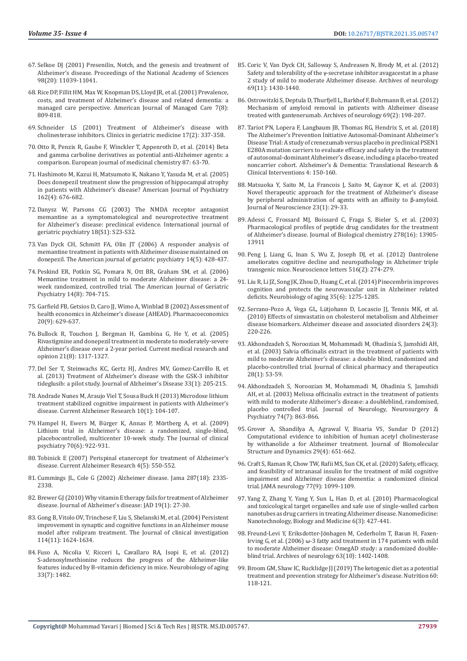- 67. [Selkoe DJ \(2001\) Presenilin, Notch, and the genesis and treatment of](https://pubmed.ncbi.nlm.nih.gov/11572965/)  [Alzheimer's disease. Proceedings of the National Academy of Sciences](https://pubmed.ncbi.nlm.nih.gov/11572965/)  [98\(20\): 11039-11041.](https://pubmed.ncbi.nlm.nih.gov/11572965/)
- 68. [Rice DP, Fillit HM, Max W, Knopman DS, Lloyd JR, et al. \(2001\) Prevalence,](https://pubmed.ncbi.nlm.nih.gov/11519239/)  [costs, and treatment of Alzheimer's disease and related dementia: a](https://pubmed.ncbi.nlm.nih.gov/11519239/)  [managed care perspective. American Journal of Managed Care 7\(8\):](https://pubmed.ncbi.nlm.nih.gov/11519239/)  [809-818.](https://pubmed.ncbi.nlm.nih.gov/11519239/)
- 69. Schneider LS (2001) Treatment of Alzheimer's disease with cholinesterase inhibitors. Clinics in geriatric medicine 17(2): 337-358.
- 70. [Otto R, Penzis R, Gaube F, Winckler T, Appenroth D, et al. \(2014\) Beta](https://www.sciencedirect.com/science/article/abs/pii/S0223523414008666)  [and gamma carboline derivatives as potential anti-Alzheimer agents: a](https://www.sciencedirect.com/science/article/abs/pii/S0223523414008666)  [comparison. European journal of medicinal chemistry 87: 63-70.](https://www.sciencedirect.com/science/article/abs/pii/S0223523414008666)
- 71. [Hashimoto M, Kazui H, Matsumoto K, Nakano Y, Yasuda M, et al. \(2005\)](https://pubmed.ncbi.nlm.nih.gov/15800138/)  [Does donepezil treatment slow the progression of hippocampal atrophy](https://pubmed.ncbi.nlm.nih.gov/15800138/)  [in patients with Alzheimer's disease? American Journal of Psychiatry](https://pubmed.ncbi.nlm.nih.gov/15800138/)  [162\(4\): 676-682.](https://pubmed.ncbi.nlm.nih.gov/15800138/)
- 72. [Danysz W, Parsons CG \(2003\) The NMDA receptor antagonist](https://pubmed.ncbi.nlm.nih.gov/12973747/)  [memantine as a symptomatological and neuroprotective treatment](https://pubmed.ncbi.nlm.nih.gov/12973747/)  [for Alzheimer's disease: preclinical evidence. International journal of](https://pubmed.ncbi.nlm.nih.gov/12973747/)  [geriatric psychiatry 18\(S1\): S23-S32.](https://pubmed.ncbi.nlm.nih.gov/12973747/)
- 73. [Van Dyck CH, Schmitt FA, Olin JT \(2006\) A responder analysis of](https://pubmed.ncbi.nlm.nih.gov/16670247/)  [memantine treatment in patients with Alzheimer disease maintained on](https://pubmed.ncbi.nlm.nih.gov/16670247/)  [donepezil. The American journal of geriatric psychiatry 14\(5\): 428-437.](https://pubmed.ncbi.nlm.nih.gov/16670247/)
- 74. [Peskind ER, Potkin SG, Pomara N, Ott BR, Graham SM, et al. \(2006\)](https://pubmed.ncbi.nlm.nih.gov/16861375/)  [Memantine treatment in mild to moderate Alzheimer disease: a 24](https://pubmed.ncbi.nlm.nih.gov/16861375/) [week randomized, controlled trial. The American Journal of Geriatric](https://pubmed.ncbi.nlm.nih.gov/16861375/)  [Psychiatry 14\(8\): 704-715.](https://pubmed.ncbi.nlm.nih.gov/16861375/)
- 75. [Garfield FB, Getsios D, Caro JJ, Wimo A, Winblad B \(2002\) Assessment of](https://pubmed.ncbi.nlm.nih.gov/12141890/)  [health economics in Alzheimer's disease \(AHEAD\). Pharmacoeconomics](https://pubmed.ncbi.nlm.nih.gov/12141890/)  [20\(9\): 629-637.](https://pubmed.ncbi.nlm.nih.gov/12141890/)
- 76. [Bullock R, Touchon J, Bergman H, Gambina G, He Y, et al. \(2005\)](https://pubmed.ncbi.nlm.nih.gov/16083542/)  [Rivastigmine and donepezil treatment in moderate to moderately-severe](https://pubmed.ncbi.nlm.nih.gov/16083542/)  [Alzheimer's disease over a 2-year period. Current medical research and](https://pubmed.ncbi.nlm.nih.gov/16083542/)  [opinion 21\(8\): 1317-1327.](https://pubmed.ncbi.nlm.nih.gov/16083542/)
- 77. [Del Ser T, Steinwachs KC, Gertz HJ, Andres MV, Gomez-Carrillo B, et](https://pubmed.ncbi.nlm.nih.gov/22936007/)  [al. \(2013\) Treatment of Alzheimer's disease with the GSK-3 inhibitor](https://pubmed.ncbi.nlm.nih.gov/22936007/)  [tideglusib: a pilot study. Journal of Alzheimer's Disease 33\(1\): 205-215.](https://pubmed.ncbi.nlm.nih.gov/22936007/)
- 78. [Andrade Nunes M, Araujo Viel T, Sousa Buck H \(2013\) Microdose lithium](https://pubmed.ncbi.nlm.nih.gov/22746245/)  [treatment stabilized cognitive impairment in patients with Alzheimer's](https://pubmed.ncbi.nlm.nih.gov/22746245/)  [disease. Current Alzheimer Research 10\(1\): 104-107.](https://pubmed.ncbi.nlm.nih.gov/22746245/)
- 79. [Hampel H, Ewers M, B](https://pubmed.ncbi.nlm.nih.gov/19573486/)ürger K, Annas P, Mörtberg A, et al. (2009) [Lithium trial in Alzheimer's disease: a randomized, single-blind,](https://pubmed.ncbi.nlm.nih.gov/19573486/)  [placebocontrolled, multicenter 10-week study. The Journal of clinical](https://pubmed.ncbi.nlm.nih.gov/19573486/)  [psychiatry 70\(6\): 922-931.](https://pubmed.ncbi.nlm.nih.gov/19573486/)
- 80. [Tobinick E \(2007\) Perispinal etanercept for treatment of Alzheimer's](https://pubmed.ncbi.nlm.nih.gov/18220520/)  [disease. Current Alzheimer Research 4\(5\): 550-552.](https://pubmed.ncbi.nlm.nih.gov/18220520/)
- 81. Cummings JL, Cole G (2002) Alzheimer disease. Jama 287(18): 2335- 2338.
- 82. [Brewer GJ \(2010\) Why vitamin E therapy fails for treatment of Alzheimer](https://pubmed.ncbi.nlm.nih.gov/20061623/)  [disease. Journal of Alzheimer's disease: JAD 19\(1\): 27-30.](https://pubmed.ncbi.nlm.nih.gov/20061623/)
- 83. [Gong B, Vitolo OV, Trinchese F, Liu S, Shelanski M, et al. \(2004\) Persistent](https://pubmed.ncbi.nlm.nih.gov/15578094/)  [improvement in synaptic and cognitive functions in an Alzheimer mouse](https://pubmed.ncbi.nlm.nih.gov/15578094/)  [model after rolipram treatment. The Journal of clinical investigation](https://pubmed.ncbi.nlm.nih.gov/15578094/)  [114\(11\): 1624-1634.](https://pubmed.ncbi.nlm.nih.gov/15578094/)
- 84. [Fuso A, Nicolia V, Ricceri L, Cavallaro RA, Isopi E, et al. \(2012\)](https://pubmed.ncbi.nlm.nih.gov/22221883/)  [S-adenosylmethionine reduces the progress of the Alzheimer-like](https://pubmed.ncbi.nlm.nih.gov/22221883/)  [features induced by B-vitamin deficiency in mice. Neurobiology of aging](https://pubmed.ncbi.nlm.nih.gov/22221883/)  [33\(7\): 1482.](https://pubmed.ncbi.nlm.nih.gov/22221883/)
- 85. [Coric V, Van Dyck CH, Salloway S, Andreasen N, Brody M, et al. \(2012\)](https://pubmed.ncbi.nlm.nih.gov/22892585/) Safety and tolerability of the γ[-secretase inhibitor avagacestat in a phase](https://pubmed.ncbi.nlm.nih.gov/22892585/) [2 study of mild to moderate Alzheimer disease. Archives of neurology](https://pubmed.ncbi.nlm.nih.gov/22892585/) [69\(11\): 1430-1440.](https://pubmed.ncbi.nlm.nih.gov/22892585/)
- 86. [Ostrowitzki S, Deptula D, Thurfjell L, Barkhof F, Bohrmann B, et al. \(2012\)](https://pubmed.ncbi.nlm.nih.gov/21987394/) [Mechanism of amyloid removal in patients with Alzheimer disease](https://pubmed.ncbi.nlm.nih.gov/21987394/) [treated with gantenerumab. Archives of neurology 69\(2\): 198-207.](https://pubmed.ncbi.nlm.nih.gov/21987394/)
- 87. [Tariot PN, Lopera F, Langbaum JB, Thomas RG, Hendrix S, et al. \(2018\)](https://pubmed.ncbi.nlm.nih.gov/29955659/) [The Alzheimer's Prevention Initiative Autosomal-Dominant Alzheimer's](https://pubmed.ncbi.nlm.nih.gov/29955659/) [Disease Trial: A study of crenezumab versus placebo in preclinical PSEN1](https://pubmed.ncbi.nlm.nih.gov/29955659/) [E280A mutation carriers to evaluate efficacy and safety in the treatment](https://pubmed.ncbi.nlm.nih.gov/29955659/) [of autosomal-dominant Alzheimer's disease, including a placebo-treated](https://pubmed.ncbi.nlm.nih.gov/29955659/) [noncarrier cohort. Alzheimer's & Dementia: Translational Research &](https://pubmed.ncbi.nlm.nih.gov/29955659/) [Clinical Interventions 4: 150-160.](https://pubmed.ncbi.nlm.nih.gov/29955659/)
- 88. [Matsuoka Y, Saito M, La Francois J, Saito M, Gaynor K, et al. \(2003\)](https://pubmed.ncbi.nlm.nih.gov/12514198/) [Novel therapeutic approach for the treatment of Alzheimer's disease](https://pubmed.ncbi.nlm.nih.gov/12514198/) [by peripheral administration of agents with an affinity to](https://pubmed.ncbi.nlm.nih.gov/12514198/) β-amyloid. [Journal of Neuroscience 23\(1\): 29-33.](https://pubmed.ncbi.nlm.nih.gov/12514198/)
- 89. [Adessi C, Frossard MJ, Boissard C, Fraga S, Bieler S, et al. \(2003\)](https://pubmed.ncbi.nlm.nih.gov/12578830/) [Pharmacological profiles of peptide drug candidates for the treatment](https://pubmed.ncbi.nlm.nih.gov/12578830/) [of Alzheimer's disease. Journal of Biological chemistry 278\(16\): 13905-](https://pubmed.ncbi.nlm.nih.gov/12578830/) [13911](https://pubmed.ncbi.nlm.nih.gov/12578830/)
- 90. [Peng J, Liang G, Inan S, Wu Z, Joseph DJ, et al. \(2012\) Dantrolene](https://pubmed.ncbi.nlm.nih.gov/22516463/) [ameliorates cognitive decline and neuropathology in Alzheimer triple](https://pubmed.ncbi.nlm.nih.gov/22516463/) [transgenic mice. Neuroscience letters 516\(2\): 274-279.](https://pubmed.ncbi.nlm.nih.gov/22516463/)
- 91. [Liu R, Li JZ, Song JK, Zhou D, Huang C, et al. \(2014\) Pinocembrin improves](https://pubmed.ncbi.nlm.nih.gov/24468471/) [cognition and protects the neurovascular unit in Alzheimer related](https://pubmed.ncbi.nlm.nih.gov/24468471/) [deficits. Neurobiology of aging 35\(6\): 1275-1285.](https://pubmed.ncbi.nlm.nih.gov/24468471/)
- 92. Serrano-Pozo A, Vega GL, Lü[tjohann D, Locascio JJ, Tennis MK, et al.](https://pubmed.ncbi.nlm.nih.gov/20473136/) [\(2010\) Effects of simvastatin on cholesterol metabolism and Alzheimer](https://pubmed.ncbi.nlm.nih.gov/20473136/) [disease biomarkers. Alzheimer disease and associated disorders 24\(3\):](https://pubmed.ncbi.nlm.nih.gov/20473136/) [220-226.](https://pubmed.ncbi.nlm.nih.gov/20473136/)
- 93. [Akhondzadeh S, Noroozian M, Mohammadi M, Ohadinia S, Jamshidi AH,](https://pubmed.ncbi.nlm.nih.gov/12605619/) [et al. \(2003\) Salvia officinalis extract in the treatment of patients with](https://pubmed.ncbi.nlm.nih.gov/12605619/) [mild to moderate Alzheimer's disease: a double blind, randomized and](https://pubmed.ncbi.nlm.nih.gov/12605619/) [placebo-controlled trial. Journal of clinical pharmacy and therapeutics](https://pubmed.ncbi.nlm.nih.gov/12605619/) [28\(1\): 53-59.](https://pubmed.ncbi.nlm.nih.gov/12605619/)
- 94. [Akhondzadeh S, Noroozian M, Mohammadi M, Ohadinia S, Jamshidi](https://pubmed.ncbi.nlm.nih.gov/12810768/) [AH, et al. \(2003\) Melissa officinalis extract in the treatment of patients](https://pubmed.ncbi.nlm.nih.gov/12810768/) [with mild to moderate Alzheimer's disease: a doubleblind, randomised,](https://pubmed.ncbi.nlm.nih.gov/12810768/) [placebo controlled trial. Journal of Neurology, Neurosurgery &](https://pubmed.ncbi.nlm.nih.gov/12810768/) [Psychiatry 74\(7\): 863-866.](https://pubmed.ncbi.nlm.nih.gov/12810768/)
- 95. [Grover A, Shandilya A, Agrawal V, Bisaria VS, Sundar D \(2012\)](https://pubmed.ncbi.nlm.nih.gov/22208270/) [Computational evidence to inhibition of human acetyl cholinesterase](https://pubmed.ncbi.nlm.nih.gov/22208270/) [by withanolide a for Alzheimer treatment. Journal of Biomolecular](https://pubmed.ncbi.nlm.nih.gov/22208270/) [Structure and Dynamics 29\(4\): 651-662.](https://pubmed.ncbi.nlm.nih.gov/22208270/)
- 96. [Craft S, Raman R, Chow TW, Rafii MS, Sun CK, et al. \(2020\) Safety, efficacy,](https://pubmed.ncbi.nlm.nih.gov/32568367/) [and feasibility of intranasal insulin for the treatment of mild cognitive](https://pubmed.ncbi.nlm.nih.gov/32568367/) [impairment and Alzheimer disease dementia: a randomized clinical](https://pubmed.ncbi.nlm.nih.gov/32568367/) [trial. JAMA neurology 77\(9\): 1099-1109.](https://pubmed.ncbi.nlm.nih.gov/32568367/)
- 97. [Yang Z, Zhang Y, Yang Y, Sun L, Han D, et al. \(2010\) Pharmacological](https://pubmed.ncbi.nlm.nih.gov/20056170/) [and toxicological target organelles and safe use of single-walled carbon](https://pubmed.ncbi.nlm.nih.gov/20056170/) [nanotubes as drug carriers in treating Alzheimer disease. Nanomedicine:](https://pubmed.ncbi.nlm.nih.gov/20056170/) [Nanotechnology, Biology and Medicine 6\(3\): 427-441.](https://pubmed.ncbi.nlm.nih.gov/20056170/)
- 98. Freund-Levi Y, Eriksdotter-Jö[nhagen M, Cederholm T, Basun H, Faxen-](https://pubmed.ncbi.nlm.nih.gov/17030655/)Irving G, et al. (2006) ω[-3 fatty acid treatment in 174 patients with mild](https://pubmed.ncbi.nlm.nih.gov/17030655/) [to moderate Alzheimer disease: OmegAD study: a randomized double](https://pubmed.ncbi.nlm.nih.gov/17030655/)[blind trial. Archives of neurology 63\(10\): 1402-1408.](https://pubmed.ncbi.nlm.nih.gov/17030655/)
- 99. [Broom GM, Shaw IC, Rucklidge JJ \(2019\) The ketogenic diet as a potential](https://pubmed.ncbi.nlm.nih.gov/30554068/) [treatment and prevention strategy for Alzheimer's disease. Nutrition 60:](https://pubmed.ncbi.nlm.nih.gov/30554068/) [118-121.](https://pubmed.ncbi.nlm.nih.gov/30554068/)